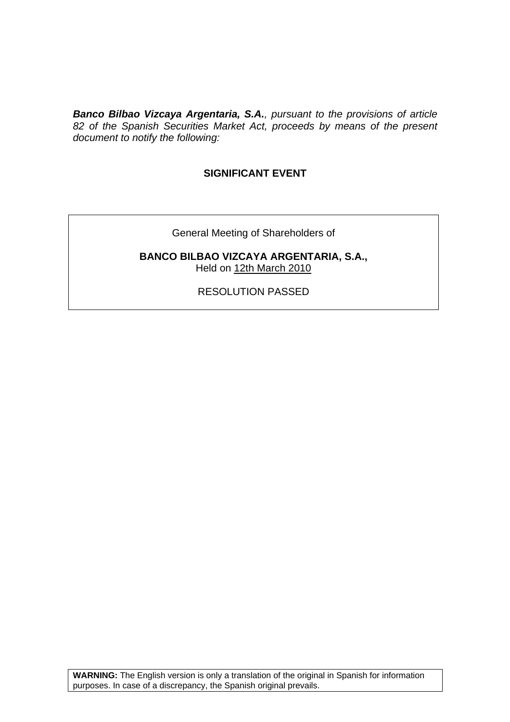*Banco Bilbao Vizcaya Argentaria, S.A., pursuant to the provisions of article 82 of the Spanish Securities Market Act, proceeds by means of the present document to notify the following:* 

# **SIGNIFICANT EVENT**

General Meeting of Shareholders of

**BANCO BILBAO VIZCAYA ARGENTARIA, S.A.,**  Held on 12th March 2010

RESOLUTION PASSED

**WARNING:** The English version is only a translation of the original in Spanish for information purposes. In case of a discrepancy, the Spanish original prevails.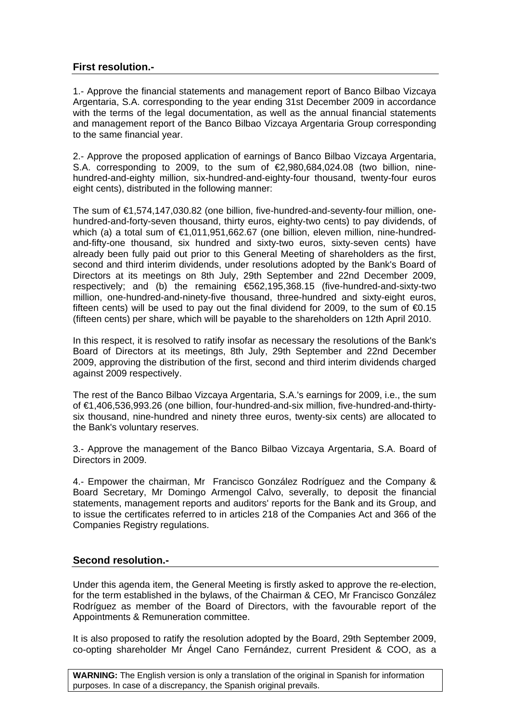# **First resolution.-**

1.- Approve the financial statements and management report of Banco Bilbao Vizcaya Argentaria, S.A. corresponding to the year ending 31st December 2009 in accordance with the terms of the legal documentation, as well as the annual financial statements and management report of the Banco Bilbao Vizcaya Argentaria Group corresponding to the same financial year.

2.- Approve the proposed application of earnings of Banco Bilbao Vizcaya Argentaria, S.A. corresponding to 2009, to the sum of  $E$ ,980,684,024.08 (two billion, ninehundred-and-eighty million, six-hundred-and-eighty-four thousand, twenty-four euros eight cents), distributed in the following manner:

The sum of €1,574,147,030.82 (one billion, five-hundred-and-seventy-four million, onehundred-and-forty-seven thousand, thirty euros, eighty-two cents) to pay dividends, of which (a) a total sum of €1,011,951,662.67 (one billion, eleven million, nine-hundredand-fifty-one thousand, six hundred and sixty-two euros, sixty-seven cents) have already been fully paid out prior to this General Meeting of shareholders as the first, second and third interim dividends, under resolutions adopted by the Bank's Board of Directors at its meetings on 8th July, 29th September and 22nd December 2009, respectively; and (b) the remaining €562,195,368.15 (five-hundred-and-sixty-two million, one-hundred-and-ninety-five thousand, three-hundred and sixty-eight euros, fifteen cents) will be used to pay out the final dividend for 2009, to the sum of  $\epsilon$ 0.15 (fifteen cents) per share, which will be payable to the shareholders on 12th April 2010.

In this respect, it is resolved to ratify insofar as necessary the resolutions of the Bank's Board of Directors at its meetings, 8th July, 29th September and 22nd December 2009, approving the distribution of the first, second and third interim dividends charged against 2009 respectively.

The rest of the Banco Bilbao Vizcaya Argentaria, S.A.'s earnings for 2009, i.e., the sum of €1,406,536,993.26 (one billion, four-hundred-and-six million, five-hundred-and-thirtysix thousand, nine-hundred and ninety three euros, twenty-six cents) are allocated to the Bank's voluntary reserves.

3.- Approve the management of the Banco Bilbao Vizcaya Argentaria, S.A. Board of Directors in 2009.

4.- Empower the chairman, Mr Francisco González Rodríguez and the Company & Board Secretary, Mr Domingo Armengol Calvo, severally, to deposit the financial statements, management reports and auditors' reports for the Bank and its Group, and to issue the certificates referred to in articles 218 of the Companies Act and 366 of the Companies Registry regulations.

## **Second resolution.-**

Under this agenda item, the General Meeting is firstly asked to approve the re-election, for the term established in the bylaws, of the Chairman & CEO, Mr Francisco González Rodríguez as member of the Board of Directors, with the favourable report of the Appointments & Remuneration committee.

It is also proposed to ratify the resolution adopted by the Board, 29th September 2009, co-opting shareholder Mr Ángel Cano Fernández, current President & COO, as a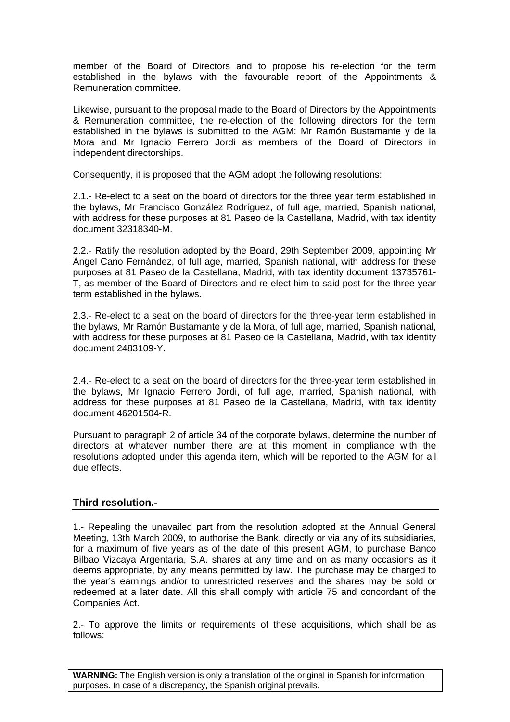member of the Board of Directors and to propose his re-election for the term established in the bylaws with the favourable report of the Appointments & Remuneration committee.

Likewise, pursuant to the proposal made to the Board of Directors by the Appointments & Remuneration committee, the re-election of the following directors for the term established in the bylaws is submitted to the AGM: Mr Ramón Bustamante y de la Mora and Mr Ignacio Ferrero Jordi as members of the Board of Directors in independent directorships.

Consequently, it is proposed that the AGM adopt the following resolutions:

2.1.- Re-elect to a seat on the board of directors for the three year term established in the bylaws, Mr Francisco González Rodríguez, of full age, married, Spanish national, with address for these purposes at 81 Paseo de la Castellana, Madrid, with tax identity document 32318340-M.

2.2.- Ratify the resolution adopted by the Board, 29th September 2009, appointing Mr Ángel Cano Fernández, of full age, married, Spanish national, with address for these purposes at 81 Paseo de la Castellana, Madrid, with tax identity document 13735761- T, as member of the Board of Directors and re-elect him to said post for the three-year term established in the bylaws.

2.3.- Re-elect to a seat on the board of directors for the three-year term established in the bylaws, Mr Ramón Bustamante y de la Mora, of full age, married, Spanish national, with address for these purposes at 81 Paseo de la Castellana, Madrid, with tax identity document 2483109-Y.

2.4.- Re-elect to a seat on the board of directors for the three-year term established in the bylaws, Mr Ignacio Ferrero Jordi, of full age, married, Spanish national, with address for these purposes at 81 Paseo de la Castellana, Madrid, with tax identity document 46201504-R.

Pursuant to paragraph 2 of article 34 of the corporate bylaws, determine the number of directors at whatever number there are at this moment in compliance with the resolutions adopted under this agenda item, which will be reported to the AGM for all due effects.

## **Third resolution.-**

1.- Repealing the unavailed part from the resolution adopted at the Annual General Meeting, 13th March 2009, to authorise the Bank, directly or via any of its subsidiaries, for a maximum of five years as of the date of this present AGM, to purchase Banco Bilbao Vizcaya Argentaria, S.A. shares at any time and on as many occasions as it deems appropriate, by any means permitted by law. The purchase may be charged to the year's earnings and/or to unrestricted reserves and the shares may be sold or redeemed at a later date. All this shall comply with article 75 and concordant of the Companies Act.

2.- To approve the limits or requirements of these acquisitions, which shall be as follows:

**WARNING:** The English version is only a translation of the original in Spanish for information purposes. In case of a discrepancy, the Spanish original prevails.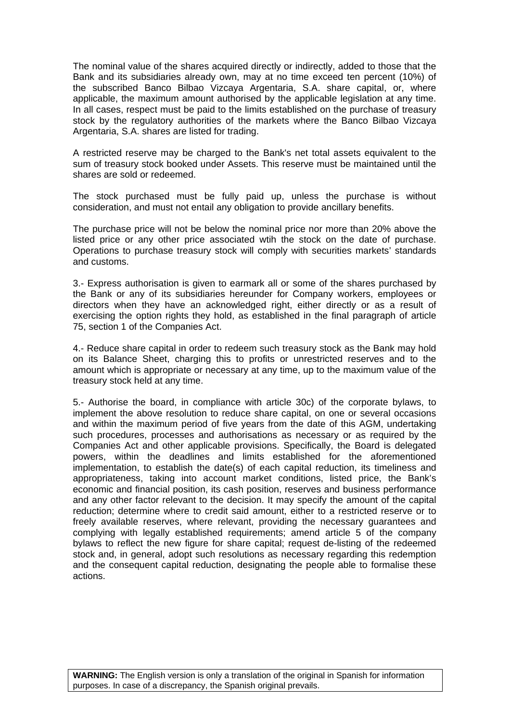The nominal value of the shares acquired directly or indirectly, added to those that the Bank and its subsidiaries already own, may at no time exceed ten percent (10%) of the subscribed Banco Bilbao Vizcaya Argentaria, S.A. share capital, or, where applicable, the maximum amount authorised by the applicable legislation at any time. In all cases, respect must be paid to the limits established on the purchase of treasury stock by the regulatory authorities of the markets where the Banco Bilbao Vizcaya Argentaria, S.A. shares are listed for trading.

A restricted reserve may be charged to the Bank's net total assets equivalent to the sum of treasury stock booked under Assets. This reserve must be maintained until the shares are sold or redeemed.

The stock purchased must be fully paid up, unless the purchase is without consideration, and must not entail any obligation to provide ancillary benefits.

The purchase price will not be below the nominal price nor more than 20% above the listed price or any other price associated wtih the stock on the date of purchase. Operations to purchase treasury stock will comply with securities markets' standards and customs.

3.- Express authorisation is given to earmark all or some of the shares purchased by the Bank or any of its subsidiaries hereunder for Company workers, employees or directors when they have an acknowledged right, either directly or as a result of exercising the option rights they hold, as established in the final paragraph of article 75, section 1 of the Companies Act.

4.- Reduce share capital in order to redeem such treasury stock as the Bank may hold on its Balance Sheet, charging this to profits or unrestricted reserves and to the amount which is appropriate or necessary at any time, up to the maximum value of the treasury stock held at any time.

5.- Authorise the board, in compliance with article 30c) of the corporate bylaws, to implement the above resolution to reduce share capital, on one or several occasions and within the maximum period of five years from the date of this AGM, undertaking such procedures, processes and authorisations as necessary or as required by the Companies Act and other applicable provisions. Specifically, the Board is delegated powers, within the deadlines and limits established for the aforementioned implementation, to establish the date(s) of each capital reduction, its timeliness and appropriateness, taking into account market conditions, listed price, the Bank's economic and financial position, its cash position, reserves and business performance and any other factor relevant to the decision. It may specify the amount of the capital reduction; determine where to credit said amount, either to a restricted reserve or to freely available reserves, where relevant, providing the necessary guarantees and complying with legally established requirements; amend article 5 of the company bylaws to reflect the new figure for share capital; request de-listing of the redeemed stock and, in general, adopt such resolutions as necessary regarding this redemption and the consequent capital reduction, designating the people able to formalise these actions.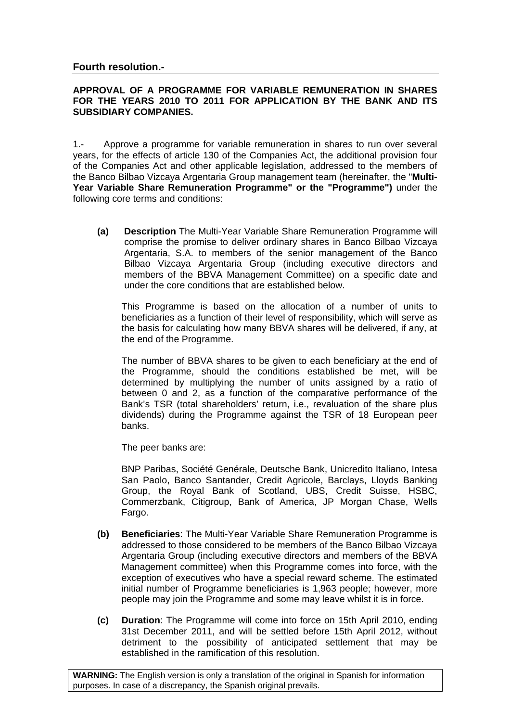#### **APPROVAL OF A PROGRAMME FOR VARIABLE REMUNERATION IN SHARES FOR THE YEARS 2010 TO 2011 FOR APPLICATION BY THE BANK AND ITS SUBSIDIARY COMPANIES.**

1.- Approve a programme for variable remuneration in shares to run over several years, for the effects of article 130 of the Companies Act, the additional provision four of the Companies Act and other applicable legislation, addressed to the members of the Banco Bilbao Vizcaya Argentaria Group management team (hereinafter, the "**Multi-Year Variable Share Remuneration Programme" or the "Programme")** under the following core terms and conditions:

**(a) Description** The Multi-Year Variable Share Remuneration Programme will comprise the promise to deliver ordinary shares in Banco Bilbao Vizcaya Argentaria, S.A. to members of the senior management of the Banco Bilbao Vizcaya Argentaria Group (including executive directors and members of the BBVA Management Committee) on a specific date and under the core conditions that are established below.

This Programme is based on the allocation of a number of units to beneficiaries as a function of their level of responsibility, which will serve as the basis for calculating how many BBVA shares will be delivered, if any, at the end of the Programme.

The number of BBVA shares to be given to each beneficiary at the end of the Programme, should the conditions established be met, will be determined by multiplying the number of units assigned by a ratio of between 0 and 2, as a function of the comparative performance of the Bank's TSR (total shareholders' return, i.e., revaluation of the share plus dividends) during the Programme against the TSR of 18 European peer banks.

The peer banks are:

BNP Paribas, Société Genérale, Deutsche Bank, Unicredito Italiano, Intesa San Paolo, Banco Santander, Credit Agricole, Barclays, Lloyds Banking Group, the Royal Bank of Scotland, UBS, Credit Suisse, HSBC, Commerzbank, Citigroup, Bank of America, JP Morgan Chase, Wells Fargo.

- **(b) Beneficiaries**: The Multi-Year Variable Share Remuneration Programme is addressed to those considered to be members of the Banco Bilbao Vizcaya Argentaria Group (including executive directors and members of the BBVA Management committee) when this Programme comes into force, with the exception of executives who have a special reward scheme. The estimated initial number of Programme beneficiaries is 1,963 people; however, more people may join the Programme and some may leave whilst it is in force.
- **(c) Duration**: The Programme will come into force on 15th April 2010, ending 31st December 2011, and will be settled before 15th April 2012, without detriment to the possibility of anticipated settlement that may be established in the ramification of this resolution.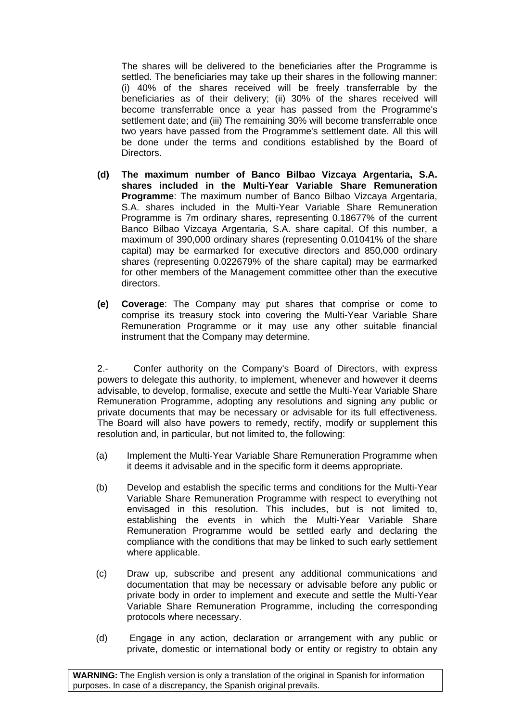The shares will be delivered to the beneficiaries after the Programme is settled. The beneficiaries may take up their shares in the following manner: (i) 40% of the shares received will be freely transferrable by the beneficiaries as of their delivery; (ii) 30% of the shares received will become transferrable once a year has passed from the Programme's settlement date; and (iii) The remaining 30% will become transferrable once two years have passed from the Programme's settlement date. All this will be done under the terms and conditions established by the Board of Directors.

- **(d) The maximum number of Banco Bilbao Vizcaya Argentaria, S.A. shares included in the Multi-Year Variable Share Remuneration Programme**: The maximum number of Banco Bilbao Vizcaya Argentaria, S.A. shares included in the Multi-Year Variable Share Remuneration Programme is 7m ordinary shares, representing 0.18677% of the current Banco Bilbao Vizcaya Argentaria, S.A. share capital. Of this number, a maximum of 390,000 ordinary shares (representing 0.01041% of the share capital) may be earmarked for executive directors and 850,000 ordinary shares (representing 0.022679% of the share capital) may be earmarked for other members of the Management committee other than the executive directors.
- **(e) Coverage**: The Company may put shares that comprise or come to comprise its treasury stock into covering the Multi-Year Variable Share Remuneration Programme or it may use any other suitable financial instrument that the Company may determine.

2.- Confer authority on the Company's Board of Directors, with express powers to delegate this authority, to implement, whenever and however it deems advisable, to develop, formalise, execute and settle the Multi-Year Variable Share Remuneration Programme, adopting any resolutions and signing any public or private documents that may be necessary or advisable for its full effectiveness. The Board will also have powers to remedy, rectify, modify or supplement this resolution and, in particular, but not limited to, the following:

- (a) Implement the Multi-Year Variable Share Remuneration Programme when it deems it advisable and in the specific form it deems appropriate.
- (b) Develop and establish the specific terms and conditions for the Multi-Year Variable Share Remuneration Programme with respect to everything not envisaged in this resolution. This includes, but is not limited to, establishing the events in which the Multi-Year Variable Share Remuneration Programme would be settled early and declaring the compliance with the conditions that may be linked to such early settlement where applicable.
- (c) Draw up, subscribe and present any additional communications and documentation that may be necessary or advisable before any public or private body in order to implement and execute and settle the Multi-Year Variable Share Remuneration Programme, including the corresponding protocols where necessary.
- (d) Engage in any action, declaration or arrangement with any public or private, domestic or international body or entity or registry to obtain any